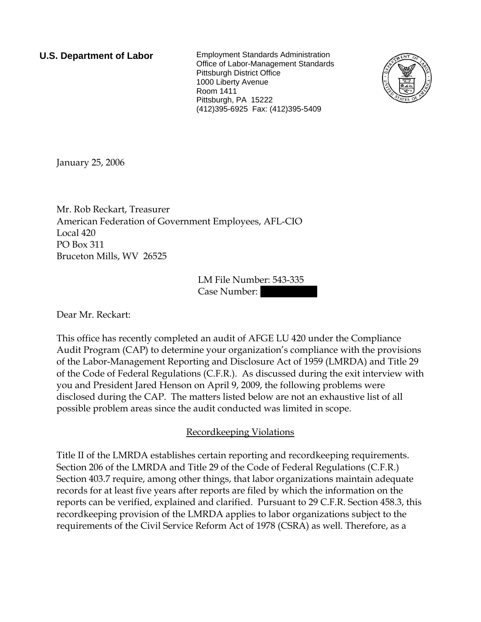**U.S. Department of Labor** Employment Standards Administration Office of Labor-Management Standards Pittsburgh District Office 1000 Liberty Avenue Room 1411 Pittsburgh, PA 15222 (412)395-6925 Fax: (412)395-5409



January 25, 2006

Mr. Rob Reckart, Treasurer American Federation of Government Employees, AFL-CIO Local 420 PO Box 311 Bruceton Mills, WV 26525

> LM File Number: 543-335 Case Number:

Dear Mr. Reckart:

This office has recently completed an audit of AFGE LU 420 under the Compliance Audit Program (CAP) to determine your organization's compliance with the provisions of the Labor-Management Reporting and Disclosure Act of 1959 (LMRDA) and Title 29 of the Code of Federal Regulations (C.F.R.). As discussed during the exit interview with you and President Jared Henson on April 9, 2009, the following problems were disclosed during the CAP. The matters listed below are not an exhaustive list of all possible problem areas since the audit conducted was limited in scope.

## Recordkeeping Violations

Title II of the LMRDA establishes certain reporting and recordkeeping requirements. Section 206 of the LMRDA and Title 29 of the Code of Federal Regulations (C.F.R.) Section 403.7 require, among other things, that labor organizations maintain adequate records for at least five years after reports are filed by which the information on the reports can be verified, explained and clarified. Pursuant to 29 C.F.R. Section 458.3, this recordkeeping provision of the LMRDA applies to labor organizations subject to the requirements of the Civil Service Reform Act of 1978 (CSRA) as well. Therefore, as a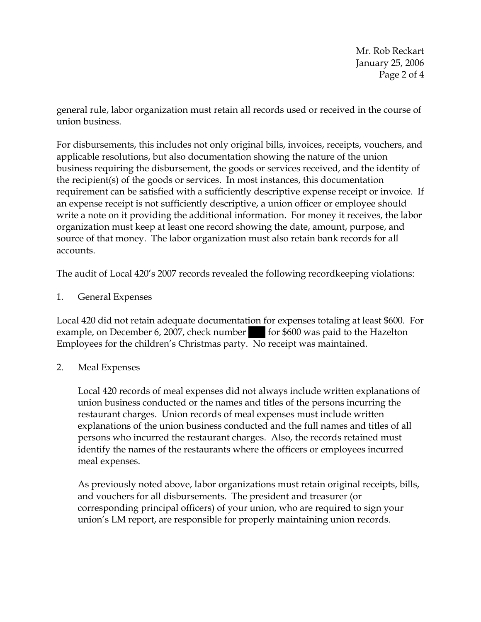Mr. Rob Reckart January 25, 2006 Page 2 of 4

general rule, labor organization must retain all records used or received in the course of union business.

For disbursements, this includes not only original bills, invoices, receipts, vouchers, and applicable resolutions, but also documentation showing the nature of the union business requiring the disbursement, the goods or services received, and the identity of the recipient(s) of the goods or services. In most instances, this documentation requirement can be satisfied with a sufficiently descriptive expense receipt or invoice. If an expense receipt is not sufficiently descriptive, a union officer or employee should write a note on it providing the additional information. For money it receives, the labor organization must keep at least one record showing the date, amount, purpose, and source of that money. The labor organization must also retain bank records for all accounts.

The audit of Local 420's 2007 records revealed the following recordkeeping violations:

1. General Expenses

Local 420 did not retain adequate documentation for expenses totaling at least \$600. For example, on December 6, 2007, check number for \$600 was paid to the Hazelton Employees for the children's Christmas party. No receipt was maintained.

2. Meal Expenses

Local 420 records of meal expenses did not always include written explanations of union business conducted or the names and titles of the persons incurring the restaurant charges. Union records of meal expenses must include written explanations of the union business conducted and the full names and titles of all persons who incurred the restaurant charges. Also, the records retained must identify the names of the restaurants where the officers or employees incurred meal expenses.

As previously noted above, labor organizations must retain original receipts, bills, and vouchers for all disbursements. The president and treasurer (or corresponding principal officers) of your union, who are required to sign your union's LM report, are responsible for properly maintaining union records.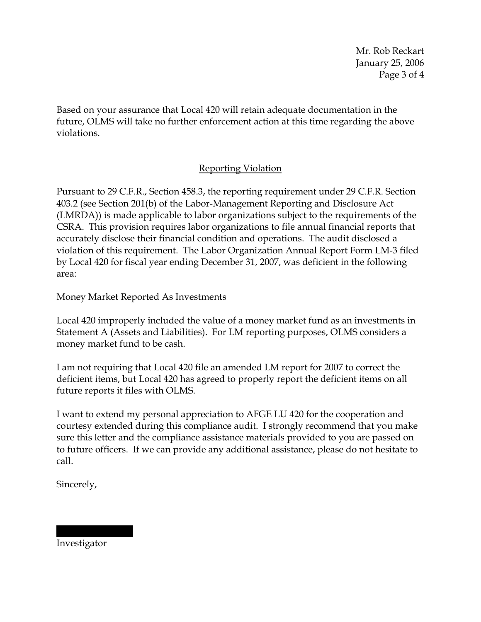Mr. Rob Reckart January 25, 2006 Page 3 of 4

Based on your assurance that Local 420 will retain adequate documentation in the future, OLMS will take no further enforcement action at this time regarding the above violations.

## Reporting Violation

Pursuant to 29 C.F.R., Section 458.3, the reporting requirement under 29 C.F.R. Section 403.2 (see Section 201(b) of the Labor-Management Reporting and Disclosure Act (LMRDA)) is made applicable to labor organizations subject to the requirements of the CSRA. This provision requires labor organizations to file annual financial reports that accurately disclose their financial condition and operations. The audit disclosed a violation of this requirement. The Labor Organization Annual Report Form LM-3 filed by Local 420 for fiscal year ending December 31, 2007, was deficient in the following area:

Money Market Reported As Investments

Local 420 improperly included the value of a money market fund as an investments in Statement A (Assets and Liabilities). For LM reporting purposes, OLMS considers a money market fund to be cash.

I am not requiring that Local 420 file an amended LM report for 2007 to correct the deficient items, but Local 420 has agreed to properly report the deficient items on all future reports it files with OLMS.

I want to extend my personal appreciation to AFGE LU 420 for the cooperation and courtesy extended during this compliance audit. I strongly recommend that you make sure this letter and the compliance assistance materials provided to you are passed on to future officers. If we can provide any additional assistance, please do not hesitate to call.

Sincerely,

Investigator

|||||| |||||||